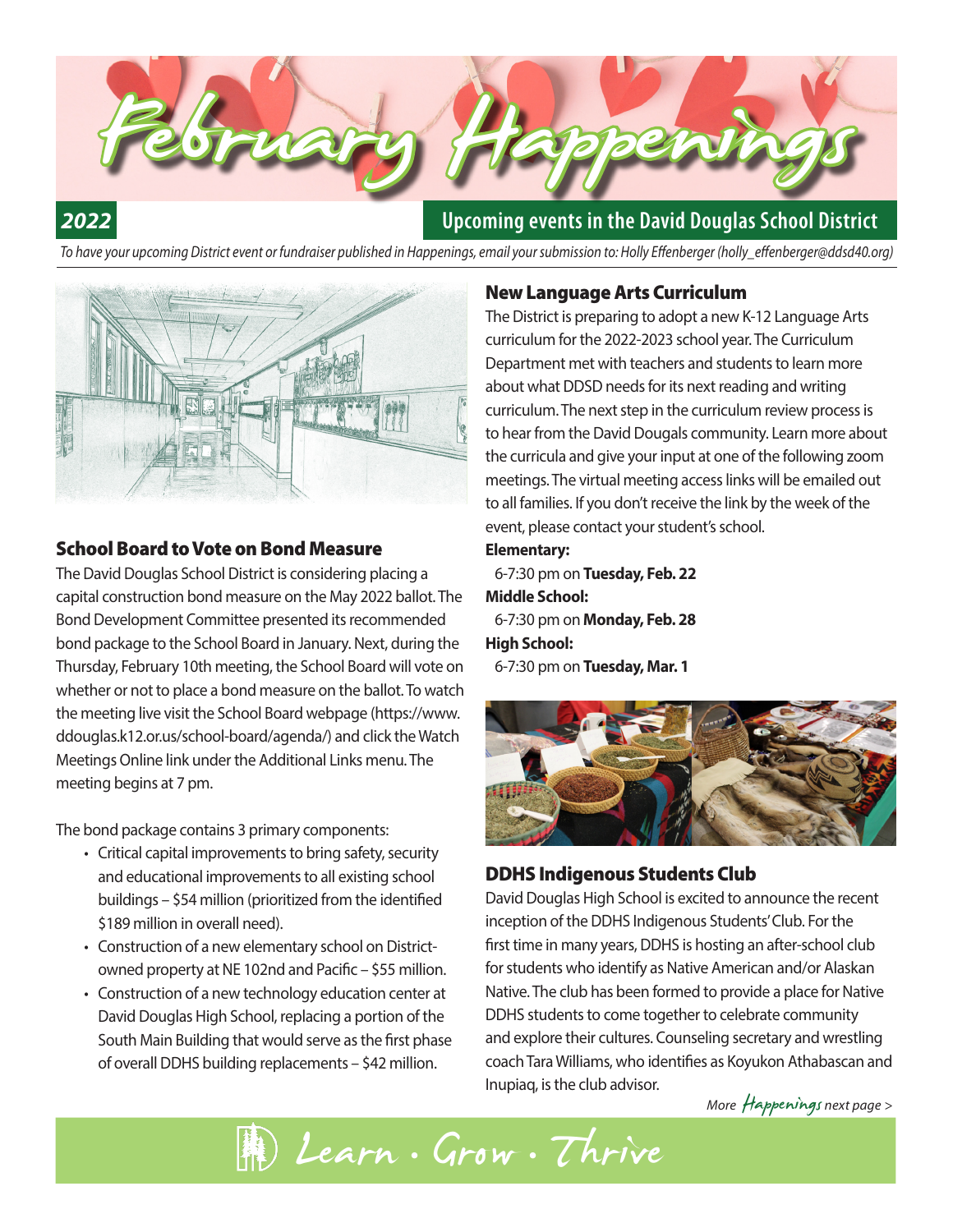

# *2022*

## **Upcoming events in the David Douglas School District**

*To have your upcoming District event or fundraiser published in Happenings, email your submission to: Holly Effenberger (holly\_effenberger@ddsd40.org)*



### School Board to Vote on Bond Measure

The David Douglas School District is considering placing a capital construction bond measure on the May 2022 ballot. The Bond Development Committee presented its recommended bond package to the School Board in January. Next, during the Thursday, February 10th meeting, the School Board will vote on whether or not to place a bond measure on the ballot. To watch the meeting live visit the School Board webpage (https://www. ddouglas.k12.or.us/school-board/agenda/) and click the Watch Meetings Online link under the Additional Links menu. The meeting begins at 7 pm.

The bond package contains 3 primary components:

- Critical capital improvements to bring safety, security and educational improvements to all existing school buildings – \$54 million (prioritized from the identified \$189 million in overall need).
- Construction of a new elementary school on Districtowned property at NE 102nd and Pacific – \$55 million.
- Construction of a new technology education center at David Douglas High School, replacing a portion of the South Main Building that would serve as the first phase of overall DDHS building replacements – \$42 million.

### New Language Arts Curriculum

The District is preparing to adopt a new K-12 Language Arts curriculum for the 2022-2023 school year. The Curriculum Department met with teachers and students to learn more about what DDSD needs for its next reading and writing curriculum. The next step in the curriculum review process is to hear from the David Dougals community. Learn more about the curricula and give your input at one of the following zoom meetings. The virtual meeting access links will be emailed out to all families. If you don't receive the link by the week of the event, please contact your student's school.

#### **Elementary:**

 6-7:30 pm on **Tuesday, Feb. 22 Middle School:** 6-7:30 pm on **Monday, Feb. 28 High School:** 6-7:30 pm on **Tuesday, Mar. 1**



### DDHS Indigenous Students Club

David Douglas High School is excited to announce the recent inception of the DDHS Indigenous Students' Club. For the first time in many years, DDHS is hosting an after-school club for students who identify as Native American and/or Alaskan Native. The club has been formed to provide a place for Native DDHS students to come together to celebrate community and explore their cultures. Counseling secretary and wrestling coach Tara Williams, who identifies as Koyukon Athabascan and Inupiaq, is the club advisor.

*More* Happenings *next page* >